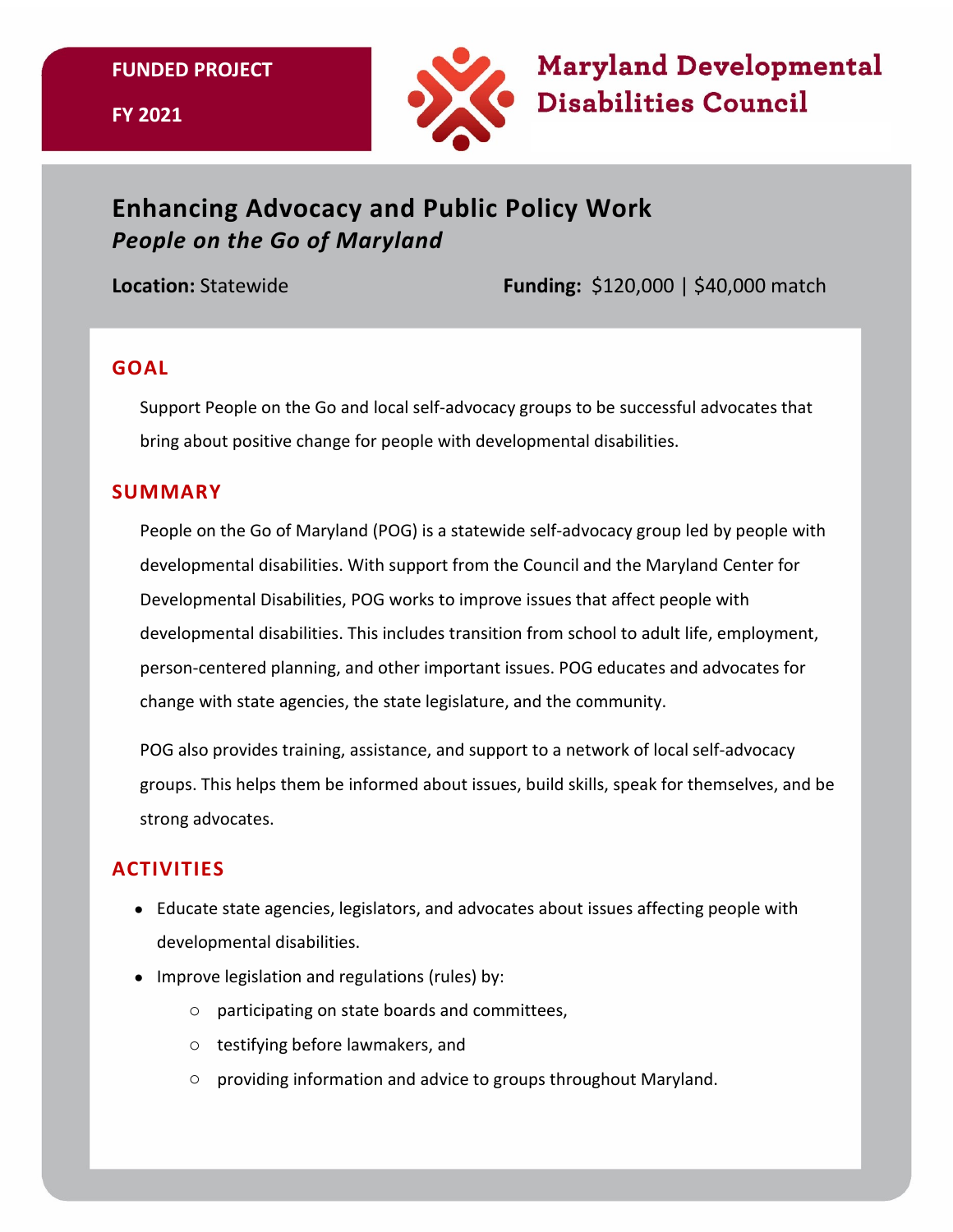**FUNDED PROJECT**



# **Enhancing Advocacy and Public Policy Work**  *People on the Go of Maryland*

**Location:** Statewide **Funding:** \$120,000 | \$40,000 match

#### **GOAL**

Support People on the Go and local self-advocacy groups to be successful advocates that bring about positive change for people with developmental disabilities.

#### **SUMMARY**

People on the Go of Maryland (POG) is a statewide self-advocacy group led by people with developmental disabilities. With support from the Council and the Maryland Center for Developmental Disabilities, POG works to improve issues that affect people with developmental disabilities. This includes transition from school to adult life, employment, person-centered planning, and other important issues. POG educates and advocates for change with state agencies, the state legislature, and the community.

POG also provides training, assistance, and support to a network of local self-advocacy groups. This helps them be informed about issues, build skills, speak for themselves, and be strong advocates.

## **ACTIVITIES**

- Educate state agencies, legislators, and advocates about issues affecting people with developmental disabilities.
- Improve legislation and regulations (rules) by:
	- o participating on state boards and committees,
	- o testifying before lawmakers, and
	- o providing information and advice to groups throughout Maryland.